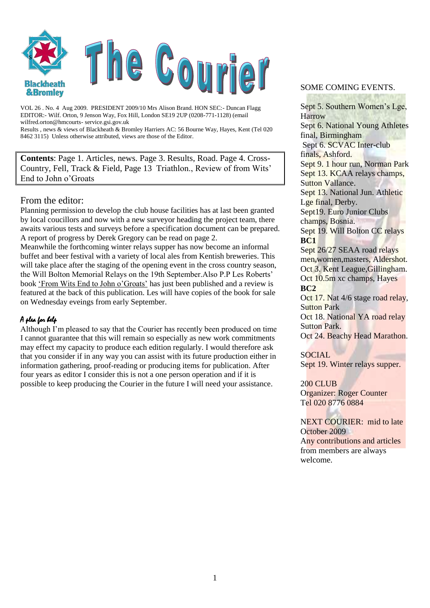

VOL 26 . No. 4 Aug 2009. PRESIDENT 2009/10 Mrs Alison Brand. HON SEC:- Duncan Flagg EDITOR:- Wilf. Orton, 9 Jenson Way, Fox Hill, London SE19 2UP (0208-771-1128) (email wilfred.orton@hmcourts- service.gsi.gov.uk Results , news & views of Blackheath & Bromley Harriers AC: 56 Bourne Way, Hayes, Kent (Tel 020 8462 3115) Unless otherwise attributed, views are those of the Editor.

**Contents**: Page 1. Articles, news. Page 3. Results, Road. Page 4. Cross-Country, Fell, Track & Field, Page 13 Triathlon., Review of from Wits" End to John o"Groats

## From the editor:

Planning permission to develop the club house facilities has at last been granted by local coucillors and now with a new surveyor heading the project team, there awaits various tests and surveys before a specification document can be prepared. A report of progress by Derek Gregory can be read on page 2.

Meanwhile the forthcoming winter relays supper has now become an informal buffet and beer festival with a variety of local ales from Kentish breweries. This will take place after the staging of the opening event in the cross country season, the Will Bolton Memorial Relays on the 19th September.Also P.P Les Roberts" book "From Wits End to John o"Groats" has just been published and a review is featured at the back of this publication. Les will have copies of the book for sale on Wednesday eveings from early September.

## A plea for help

Although I"m pleased to say that the Courier has recently been produced on time I cannot guarantee that this will remain so especially as new work commitments may effect my capacity to produce each edition regularly. I would therefore ask that you consider if in any way you can assist with its future production either in information gathering, proof-reading or producing items for publication. After four years as editor I consider this is not a one person operation and if it is possible to keep producing the Courier in the future I will need your assistance.

#### SOME COMING EVENTS.

Sept 5. Southern Women"s Lge, Harrow Sept 6. National Young Athletes final, Birmingham Sept 6. SCVAC Inter-club finals, Ashford. Sept 9. 1 hour run, Norman Park Sept 13. KCAA relays champs, Sutton Vallance. Sept 13. National Jun. Athletic Lge final, Derby. Sept19. Euro Junior Clubs champs, Bosnia. Sept 19. Will Bolton CC relays **BC1** Sept 26/27 SEAA road relays men,women,masters, Aldershot. Oct 3. Kent League,Gillingham. Oct 10.5m xc champs, Hayes **BC2** Oct 17. Nat 4/6 stage road relay, Sutton Park Oct 18. National YA road relay Sutton Park. Oct 24. Beachy Head Marathon. SOCIAL

Sept 19. Winter relays supper.

200 CLUB Organizer: Roger Counter Tel 020 8776 0884

NEXT COURIER: mid to late October 2009 Any contributions and articles from members are always welcome.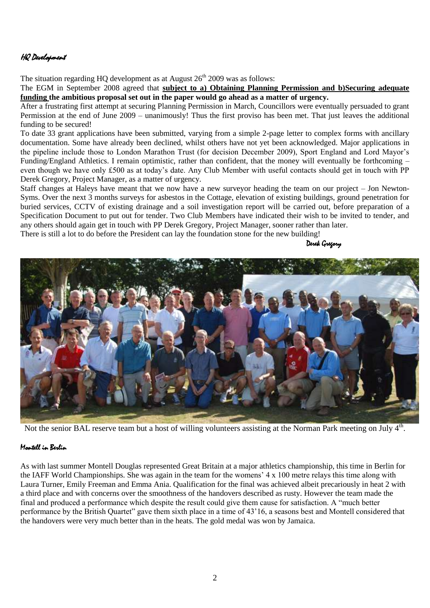## HQ Development

The situation regarding HO development as at August  $26<sup>th</sup>$  2009 was as follows:

The EGM in September 2008 agreed that **subject to a) Obtaining Planning Permission and b)Securing adequate funding the ambitious proposal set out in the paper would go ahead as a matter of urgency.** 

After a frustrating first attempt at securing Planning Permission in March, Councillors were eventually persuaded to grant Permission at the end of June 2009 – unanimously! Thus the first proviso has been met. That just leaves the additional funding to be secured!

To date 33 grant applications have been submitted, varying from a simple 2-page letter to complex forms with ancillary documentation. Some have already been declined, whilst others have not yet been acknowledged. Major applications in the pipeline include those to London Marathon Trust (for decision December 2009), Sport England and Lord Mayor"s Funding/England Athletics. I remain optimistic, rather than confident, that the money will eventually be forthcoming – even though we have only £500 as at today"s date. Any Club Member with useful contacts should get in touch with PP Derek Gregory, Project Manager, as a matter of urgency.

Staff changes at Haleys have meant that we now have a new surveyor heading the team on our project – Jon Newton-Syms. Over the next 3 months surveys for asbestos in the Cottage, elevation of existing buildings, ground penetration for buried services, CCTV of existing drainage and a soil investigation report will be carried out, before preparation of a Specification Document to put out for tender. Two Club Members have indicated their wish to be invited to tender, and any others should again get in touch with PP Derek Gregory, Project Manager, sooner rather than later.

There is still a lot to do before the President can lay the foundation stone for the new building!

Derek Gregory



Not the senior BAL reserve team but a host of willing volunteers assisting at the Norman Park meeting on July 4<sup>th</sup>.

## Montell in Berlin

As with last summer Montell Douglas represented Great Britain at a major athletics championship, this time in Berlin for the IAFF World Championships. She was again in the team for the womens" 4 x 100 metre relays this time along with Laura Turner, Emily Freeman and Emma Ania. Qualification for the final was achieved albeit precariously in heat 2 with a third place and with concerns over the smoothness of the handovers described as rusty. However the team made the final and produced a performance which despite the result could give them cause for satisfaction. A "much better performance by the British Quartet" gave them sixth place in a time of 43"16, a seasons best and Montell considered that the handovers were very much better than in the heats. The gold medal was won by Jamaica.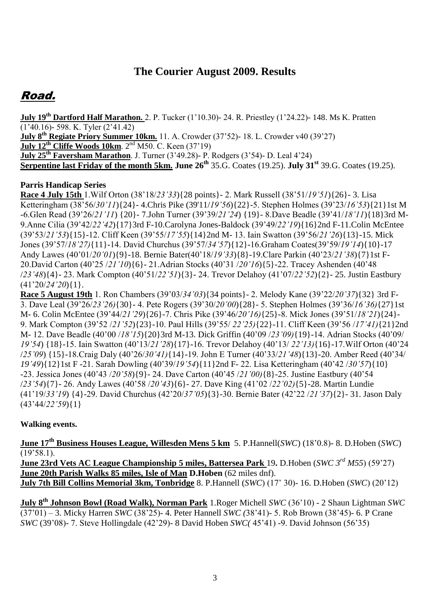## **The Courier August 2009. Results**

# Road.

**July 19th Dartford Half Marathon.** 2. P. Tucker (1"10.30)- 24. R. Priestley (1"24.22)- 148. Ms K. Pratten  $(1'40.16)$ - 598. K. Tyler  $(2'41.42)$ **July 8th Regiate Priory Summer 10km.** 11. A. Crowder (37"52)- 18. L. Crowder v40 (39"27) **July 12th Cliffe Woods 10km**. 2nd M50. C. Keen (37"19) **July 25th Faversham Marathon**. J. Turner (3"49.28)- P. Rodgers (3"54)- D. Leal 4"24) **Serpentine last Friday of the month 5km. June 26th** 35.G. Coates (19.25). **July 31st** 39.G. Coates (19.25).

## **Parris Handicap Series**

**Race 4 July 15th** 1.Wilf Orton (38"18/*23"33*){28 points}- 2. Mark Russell (38"51/*19"51*){26}- 3. Lisa Ketteringham (38"56/*30"11*){24}- 4.Chris Pike (39'11/*19"56*){22}-5. Stephen Holmes (39"23/*16"53*){21}1st M -6.Glen Read (39"26/*21"11*) {20}- 7.John Turner (39"39/*21"24*) {19}- 8.Dave Beadle (39"41/*18"11*){18}3rd M-9.Anne Cilia (39"42/*22"42*){17}3rd F-10.Carolyna Jones-Baldock (39"49/*22"19*){16}2nd F-11.Colin McEntee (39"53/*21"53*){15}-12. Cliff Keen (39"55/*17"55*){14}2nd M- 13. Iain Swatton (39"56/*21"26*){13}-15. Mick Jones (39"57/*18"27)*{11}-14. David Churchus (39"57/*34"57*){12}-16.Graham Coates(39"59/*19"14*){10}-17 Andy Lawes (40"01/*20"01*){9}-18. Bernie Bater(40"18/*19"33*){8}-19.Clare Parkin (40"23/*21"38*){7}1st F-20.David Carton (40"25 /*21"10*){6}- 21.Adrian Stocks (40"31 /*20"16*){5}-22. Tracey Ashenden (40"48 /*23"48*){4}- 23. Mark Compton (40"51/*22"51*){3}- 24. Trevor Delahoy (41"07/*22"52*){2}- 25. Justin Eastbury (41"20/*24"20*){1}.

**Race 5 August 19th** 1. Ron Chambers (39"03/*34"03*){34 points}- 2. Melody Kane (39"22/*20"37*){32} 3rd F-3. Dave Leal (39"26/*23"26)*{30}- 4. Pete Rogers (39"30/*20"00*){28}- 5. Stephen Holmes (39"36/*16"36)*{27}1st M- 6. Colin McEntee (39"44/*21"29*){26}-7. Chris Pike (39"46/*20"16)*{25}-8. Mick Jones (39"51/*18"21*){24}- 9. Mark Compton (39"52 /*21"52*){23}-10. Paul Hills (39"55/ *22"25)*{22}-11. Cliff Keen (39"56 /*17"41)*{21}2nd M- 12. Dave Beadle (40"00 /*18"15*){20}3rd M-13. Dick Griffin (40"09 /*23"09)*{19}-14. Adrian Stocks (40"09/ *19"54*) {18}-15. Iain Swatton (40"13/*21"28*){17}-16. Trevor Delahoy (40"13/ *22"13)*{16}-17.Wilf Orton (40"24 /*25"09*) {15}-18.Craig Daly (40"26/*30"41)*{14}-19. John E Turner (40"33/*21"48*){13}-20. Amber Reed (40"34/ *19"49*){12}1st F -21. Sarah Dowling (40"39/*19"54*){11}2nd F- 22. Lisa Ketteringham (40"42 /*30"57*){10} -23. Jessica Jones (40"43 /*20"58*){9}- 24. Dave Carton (40"45 /*21"00)*{8}-25. Justine Eastbury (40"54 /*23"54*){7}- 26. Andy Lawes (40"58 /*20"43*){6}- 27. Dave King (41"02 /*22"02)*{5}-28. Martin Lundie (41"19/*33"19*) {4}-29. David Churchus (42"20/*37"05*){3}-30. Bernie Bater (42"22 /*21"37*){2}- 31. Jason Daly (43"44/*22"59*){1}

## **Walking events.**

**June 17th Business Houses League, Willesden Mens 5 km** 5. P.Hannell(*SWC*) (18"0.8)- 8. D.Hoben (*SWC*)  $(19'58.1)$ .

**June 23rd Vets AC League Championship 5 miles, Battersea Park** 19**.** D.Hoben (*SWC 3rd M55*) (59"27) **June 20th Parish Walks 85 miles, Isle of Man D.Hoben** (62 miles dnf). **July 7th Bill Collins Memorial 3km, Tonbridge** 8. P.Hannell (*SWC*) (17" 30)- 16. D.Hoben (*SWC*) (20"12)

**July 8th Johnson Bowl (Road Walk), Norman Park** 1.Roger Michell *SWC* (36"10) - 2 Shaun Lightman *SWC* (37"01) – 3. Micky Harren *SWC* (38"25)- 4. Peter Hannell *SWC (*38"41)- 5. Rob Brown (38"45)- 6. P Crane *SWC* (39'08)- 7. Steve Hollingdale (42'29)- 8 David Hoben *SWC* (45'41) -9. David Johnson (56'35)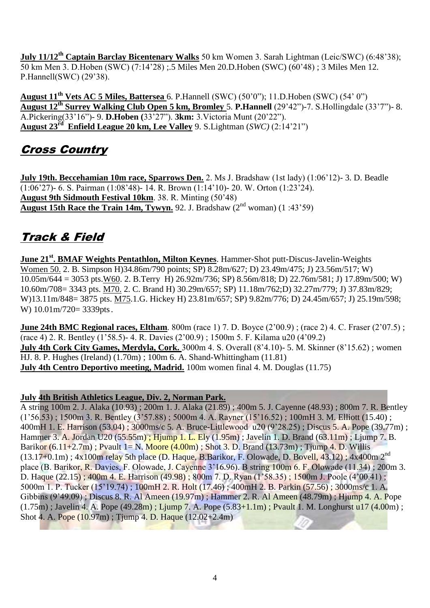**July 11/12th Captain Barclay Bicentenary Walks** 50 km Women 3. Sarah Lightman (Leic/SWC) (6:48"38); 50 km Men 3. D.Hoben (SWC) (7:14"28) ;.5 Miles Men 20.D.Hoben (SWC) (60"48) ; 3 Miles Men 12. P.Hannell(SWC) (29"38).

**August 11th Vets AC 5 Miles, Battersea** 6. P.Hannell (SWC) (50"0"); 11.D.Hoben (SWC) (54" 0") **August 12th Surrey Walking Club Open 5 km, Bromley** 5. **P.Hannell** (29"42")-7. S.Hollingdale (33"7")- 8. A.Pickering(33"16")- 9. **D.Hoben (**33"27"). **3km:** 3.Victoria Munt (20"22"). **August 23rd Enfield League 20 km, Lee Valley** 9. S.Lightman (*SWC)* (2:14"21")

# Cross Country

**July 19th. Beccehamian 10m race, Sparrows Den.** 2. Ms J. Bradshaw (1st lady) (1:06"12)- 3. D. Beadle (1:06"27)- 6. S. Pairman (1:08"48)- 14. R. Brown (1:14"10)- 20. W. Orton (1:23"24). **August 9th Sidmouth Festival 10km**. 38. R. Minting (50"48) **August 15th Race the Train 14m, Tywyn.** 92. J. Bradshaw  $(2^{nd}$  woman)  $(1 \cdot 43 \cdot 59)$ 

# Track & Field

**June 21st. BMAF Weights Pentathlon, Milton Keynes**. Hammer-Shot putt-Discus-Javelin-Weights Women 50. 2. B. Simpson H)34.86m/790 points; SP) 8.28m/627; D) 23.49m/475; J) 23.56m/517; W) 10.05m/644 = 3053 pts.W60. 2. B.Terry H) 26.92m/736; SP) 8.56m/818; D) 22.76m/581; J) 17.89m/500; W) 10.60m/708= 3343 pts. M70. 2. C. Brand H) 30.29m/657; SP) 11.18m/762;D) 32.27m/779; J) 37.83m/829; W)13.11m/848= 3875 pts. M75.1.G. Hickey H) 23.81m/657; SP) 9.82m/776; D) 24.45m/657; J) 25.19m/598; W) 10.01m/720= 3339pts.

**June 24th BMC Regional races, Eltham**. 800m (race 1) 7. D. Boyce (2'00.9); (race 2) 4. C. Fraser (2'07.5); (race 4) 2. R. Bentley (1"58.5)- 4. R. Davies (2"00.9) ; 1500m 5. F. Kilama u20 (4"09.2) **July 4th Cork City Games, Merdyla, Cork.** 3000m 4. S. Overall (8"4.10)- 5. M. Skinner (8"15.62) ; women HJ. 8. P. Hughes (Ireland) (1.70m) ; 100m 6. A. Shand-Whittingham (11.81) **July 4th Centro Deportivo meeting, Madrid.** 100m women final 4. M. Douglas (11.75)

## **July 4th British Athletics League, Div. 2, Norman Park.**

A string 100m 2. J. Alaka (10.93) ; 200m 1. J. Alaka (21.89) ; 400m 5. J. Cayenne (48.93) ; 800m 7. R. Bentley  $(1\text{°}56.53)$ ; 1500m 3. R. Bentley  $(3\text{°}57.88)$ ; 5000m 4. A. Rayner  $(15\text{°}16.52)$ ; 100mH 3. M. Elliott (15.40); 400mH 1. E. Harrison (53.04) ; 3000ms/c 5. A. Bruce-Littlewood u20 (9"28.25) ; Discus 5. A. Pope (39.77m) ; Hammer 3. A. Jordan U20 (55.55m) ; Hjump 1. L. Ely (1.95m) ; Javelin 1. D. Brand (63.11m) ; Ljump 7. B. Barikor  $(6.11+2.7m)$ ; Pyault  $1=N$ . Moore  $(4.00m)$ ; Shot 3. D. Brand  $(13.73m)$ ; Tjump 4. D. Willis  $(13.17+0.1m)$ ; 4x100m relay 5th place (D. Haque, B.Barikor, F. Olowade, D. Bovell, 43.12); 4x400m  $2<sup>nd</sup>$ place (B. Barikor, R. Davies, F. Olowade, J. Cayenne 3"16.96). B string 100m 6. F. Olowade (11.34) ; 200m 3. D. Haque (22.15) ; 400m 4. E. Harrison (49.98) ; 800m 7. D. Ryan (1"58.35) ; 1500m J. Poole (4"00.41) ; 5000m 1. P. Tucker (15"19.74) ; 100mH 2. R. Holt (17.46) ; 400mH 2. B. Parkin (57.56) ; 3000ms/c 1. A. Gibbins (9"49.09) ; Discus 8. R. Al Ameen (19.97m) ; Hammer 2. R. Al Ameen (48.79m) ; Hjump 4. A. Pope  $(1.75m)$ ; Javelin 4. A. Pope (49.28m); Ljump 7. A. Pope  $(5.83+1.1m)$ ; Pvault 1. M. Longhurst u17 (4.00m); Shot 4. A. Pope (10.97m) ; Tjump 4. D. Haque (12.02+2.4m)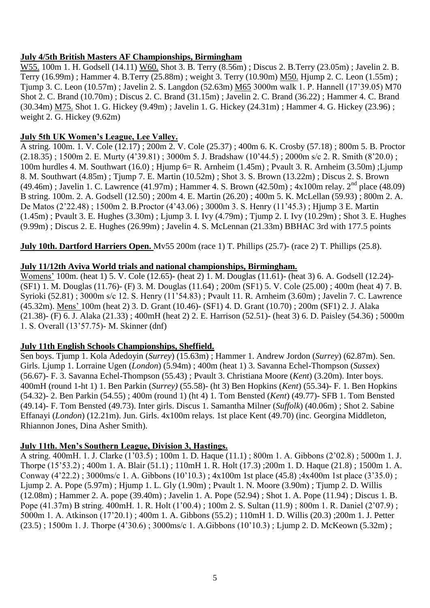## **July 4/5th British Masters AF Championships, Birmingham**

W55. 100m 1. H. Godsell (14.11) W60. Shot 3. B. Terry (8.56m); Discus 2. B. Terry (23.05m); Javelin 2. B. Terry (16.99m) ; Hammer 4. B.Terry (25.88m) ; weight 3. Terry (10.90m) M50. Hjump 2. C. Leon (1.55m) ; Tjump 3. C. Leon (10.57m) ; Javelin 2. S. Langdon (52.63m) M65 3000m walk 1. P. Hannell (17"39.05) M70 Shot 2. C. Brand (10.70m) ; Discus 2. C. Brand (31.15m) ; Javelin 2. C. Brand (36.22) ; Hammer 4. C. Brand (30.34m) M75. Shot 1. G. Hickey (9.49m) ; Javelin 1. G. Hickey (24.31m) ; Hammer 4. G. Hickey (23.96) ; weight 2. G. Hickey (9.62m)

## **July 5th UK Women's League, Lee Valley.**

A string. 100m. 1. V. Cole (12.17) ; 200m 2. V. Cole (25.37) ; 400m 6. K. Crosby (57.18) ; 800m 5. B. Proctor (2.18.35) ; 1500m 2. E. Murty (4"39.81) ; 3000m 5. J. Bradshaw (10"44.5) ; 2000m s/c 2. R. Smith (8"20.0) ; 100m hurdles 4. M. Southwart (16.0) ; Hjump 6= R. Arnheim (1.45m) ; Pvault 3. R. Arnheim (3.50m) ;Ljump 8. M. Southwart (4.85m) ; Tjump 7. E. Martin (10.52m) ; Shot 3. S. Brown (13.22m) ; Discus 2. S. Brown  $(49.46m)$ ; Javelin 1. C. Lawrence  $(41.97m)$ ; Hammer 4. S. Brown  $(42.50m)$ ;  $4x100m$  relay.  $2<sup>nd</sup>$  place  $(48.09)$ B string. 100m. 2. A. Godsell (12.50) ; 200m 4. E. Martin (26.20) ; 400m 5. K. McLellan (59.93) ; 800m 2. A. De Matos (2"22.48) ; 1500m 2. B.Proctor (4"43.06) ; 3000m 3. S. Henry (11"45.3) ; Hjump 3 E. Martin (1.45m) ; Pvault 3. E. Hughes (3.30m) ; Ljump 3. I. Ivy (4.79m) ; Tjump 2. I. Ivy (10.29m) ; Shot 3. E. Hughes (9.99m) ; Discus 2. E. Hughes (26.99m) ; Javelin 4. S. McLennan (21.33m) BBHAC 3rd with 177.5 points

**July 10th. Dartford Harriers Open.** Mv55 200m (race 1) T. Phillips (25.7)- (race 2) T. Phillips (25.8).

## **July 11/12th Aviva World trials and national championships, Birmingham.**

Womens" 100m. (heat 1) 5. V. Cole (12.65)- (heat 2) 1. M. Douglas (11.61)- (heat 3) 6. A. Godsell (12.24)- (SF1) 1. M. Douglas (11.76)- (F) 3. M. Douglas (11.64) ; 200m (SF1) 5. V. Cole (25.00) ; 400m (heat 4) 7. B. Syrioki (52.81) ; 3000m s/c 12. S. Henry (11"54.83) ; Pvault 11. R. Arnheim (3.60m) ; Javelin 7. C. Lawrence (45.32m). Mens" 100m (heat 2) 3. D. Grant (10.46)- (SF1) 4. D. Grant (10.70) ; 200m (SF1) 2. J. Alaka (21.38)- (F) 6. J. Alaka (21.33) ; 400mH (heat 2) 2. E. Harrison (52.51)- (heat 3) 6. D. Paisley (54.36) ; 5000m 1. S. Overall (13"57.75)- M. Skinner (dnf)

## **July 11th English Schools Championships, Sheffield.**

Sen boys. Tjump 1. Kola Adedoyin (*Surrey*) (15.63m) ; Hammer 1. Andrew Jordon (*Surrey*) (62.87m). Sen. Girls. Ljump 1. Lorraine Ugen (*London*) (5.94m) ; 400m (heat 1) 3. Savanna Echel-Thompson (*Sussex*) (56.67)- F. 3. Savanna Echel-Thompson (55.43) ; Pvault 3. Christiana Moore (*Kent*) (3.20m). Inter boys. 400mH (round 1-ht 1) 1. Ben Parkin (*Surrey)* (55.58)- (ht 3) Ben Hopkins (*Kent*) (55.34)- F. 1. Ben Hopkins (54.32)- 2. Ben Parkin (54.55) ; 400m (round 1) (ht 4) 1. Tom Bensted (*Kent*) (49.77)- SFB 1. Tom Bensted (49.14)- F. Tom Bensted (49.73). Inter girls. Discus 1. Samantha Milner (*Suffolk*) (40.06m) ; Shot 2. Sabine Effanayi (*London*) (12.21m). Jun. Girls. 4x100m relays. 1st place Kent (49.70) (inc. Georgina Middleton, Rhiannon Jones, Dina Asher Smith).

## **July 11th. Men's Southern League, Division 3, Hastings.**

A string. 400mH. 1. J. Clarke (1"03.5) ; 100m 1. D. Haque (11.1) ; 800m 1. A. Gibbons (2"02.8) ; 5000m 1. J. Thorpe (15"53.2) ; 400m 1. A. Blair (51.1) ; 110mH 1. R. Holt (17.3) ;200m 1. D. Haque (21.8) ; 1500m 1. A. Conway (4"22.2) ; 3000ms/c 1. A. Gibbons (10"10.3) ; 4x100m 1st place (45.8) ;4x400m 1st place (3"35.0) ; Ljump 2. A. Pope (5.97m) ; Hjump 1. L. Gly (1.90m) ; Pvault 1. N. Moore (3.90m) ; Tjump 2. D. Willis (12.08m) ; Hammer 2. A. pope (39.40m) ; Javelin 1. A. Pope (52.94) ; Shot 1. A. Pope (11.94) ; Discus 1. B. Pope (41.37m) B string. 400mH. 1. R. Holt (1"00.4) ; 100m 2. S. Sultan (11.9) ; 800m 1. R. Daniel (2"07.9) ; 5000m 1. A. Atkinson (17"20.1) ; 400m 1. A. Gibbons (55.2) ; 110mH 1. D. Willis (20.3) ;200m 1. J. Petter (23.5) ; 1500m 1. J. Thorpe (4"30.6) ; 3000ms/c 1. A.Gibbons (10"10.3) ; Ljump 2. D. McKeown (5.32m) ;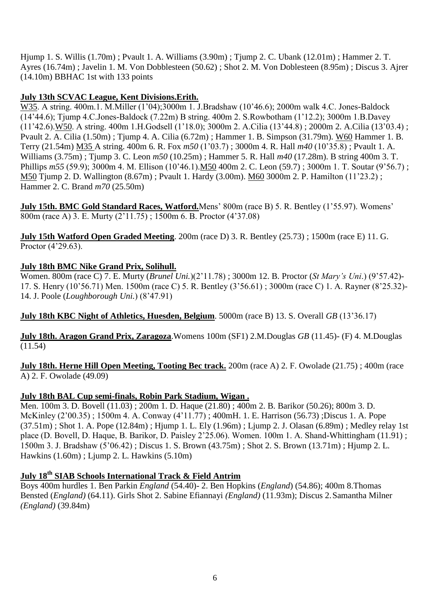Hjump 1. S. Willis (1.70m) ; Pvault 1. A. Williams (3.90m) ; Tjump 2. C. Ubank (12.01m) ; Hammer 2. T. Ayres (16.74m) ; Javelin 1. M. Von Dobblesteen (50.62) ; Shot 2. M. Von Doblesteen (8.95m) ; Discus 3. Ajrer (14.10m) BBHAC 1st with 133 points

## **July 13th SCVAC League, Kent Divisions.Erith.**

W35. A string. 400m.1. M.Miller (1"04);3000m 1. J.Bradshaw (10"46.6); 2000m walk 4.C. Jones-Baldock (14"44.6); Tjump 4.C.Jones-Baldock (7.22m) B string. 400m 2. S.Rowbotham (1"12.2); 3000m 1.B.Davey (11"42.6).W50. A string. 400m 1.H.Godsell (1"18.0); 3000m 2. A.Cilia (13"44.8) ; 2000m 2. A.Cilia (13"03.4) ; Pvault 2. A. Cilia (1.50m) ; Tjump 4. A. Cilia (6.72m) ; Hammer 1. B. Simpson (31.79m). W60 Hammer 1. B. Terry (21.54m) M35 A string. 400m 6. R. Fox *m50* (1"03.7) ; 3000m 4. R. Hall *m40* (10"35.8) ; Pvault 1. A. Williams (3.75m) ; Tjump 3. C. Leon *m50* (10.25m) ; Hammer 5. R. Hall *m40* (17.28m). B string 400m 3. T. Phillips *m55* (59.9); 3000m 4. M. Ellison (10'46.1).M50 400m 2. C. Leon (59.7); 3000m 1. T. Soutar (9'56.7); M50 Tjump 2. D. Wallington (8.67m) ; Pvault 1. Hardy (3.00m). M60 3000m 2. P. Hamilton (11"23.2) ; Hammer 2. C. Brand *m70* (25.50m)

**July 15th. BMC Gold Standard Races, Watford.**Mens" 800m (race B) 5. R. Bentley (1"55.97). Womens" 800m (race A) 3. E. Murty (2"11.75) ; 1500m 6. B. Proctor (4"37.08)

**July 15th Watford Open Graded Meeting**. 200m (race D) 3. R. Bentley (25.73) ; 1500m (race E) 11. G. Proctor (4"29.63).

## **July 18th BMC Nike Grand Prix, Solihull.**

Women. 800m (race C) 7. E. Murty (*Brunel Uni.*)(2"11.78) ; 3000m 12. B. Proctor (*St Mary"s Uni*.) (9"57.42)- 17. S. Henry (10"56.71) Men. 1500m (race C) 5. R. Bentley (3"56.61) ; 3000m (race C) 1. A. Rayner (8"25.32)- 14. J. Poole (*Loughborough Uni.*) (8"47.91)

**July 18th KBC Night of Athletics, Huesden, Belgium**. 5000m (race B) 13. S. Overall *GB* (13"36.17)

**July 18th. Aragon Grand Prix, Zaragoza**.Womens 100m (SF1) 2.M.Douglas *GB* (11.45)- (F) 4. M.Douglas  $(11.54)$ 

**July 18th. Herne Hill Open Meeting, Tooting Bec track.** 200m (race A) 2. F. Owolade (21.75) ; 400m (race A) 2. F. Owolade (49.09)

## **July 18th BAL Cup semi-finals, Robin Park Stadium, Wigan .**

Men. 100m 3. D. Bovell (11.03) ; 200m 1. D. Haque (21.80) ; 400m 2. B. Barikor (50.26); 800m 3. D. McKinley (2"00.35) ; 1500m 4. A. Conway (4"11.77) ; 400mH. 1. E. Harrison (56.73) ;Discus 1. A. Pope  $(37.51m)$ ; Shot 1. A. Pope  $(12.84m)$ ; Hjump 1. L. Ely  $(1.96m)$ ; Ljump 2. J. Olasan  $(6.89m)$ ; Medley relay 1st place (D. Bovell, D. Haque, B. Barikor, D. Paisley 2"25.06). Women. 100m 1. A. Shand-Whittingham (11.91) ; 1500m 3. J. Bradshaw (5"06.42) ; Discus 1. S. Brown (43.75m) ; Shot 2. S. Brown (13.71m) ; Hjump 2. L. Hawkins (1.60m) ; Ljump 2. L. Hawkins (5.10m)

## **July 18th SIAB Schools International Track & Field Antrim**

Boys 400m hurdles 1. Ben Parkin *England* (54.40)- 2. Ben Hopkins (*England*) (54.86); 400m 8.Thomas Bensted (*England)* (64.11). Girls Shot 2. Sabine Efiannayi *(England)* (11.93m); Discus 2.Samantha Milner *(England)* (39.84m)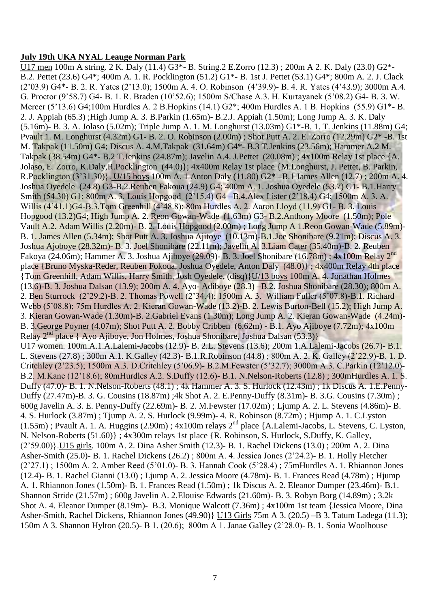## **July 19th UKA NYAL Leauge Norman Park**

U17 men 100m A string. 2 K. Daly (11.4) G3\*- B. String.2 E.Zorro (12.3) ; 200m A 2. K. Daly (23.0) G2\*- B.2. Pettet (23.6) G4\*; 400m A. 1. R. Pocklington (51.2) G1\*- B. 1st J. Pettet (53.1) G4\*; 800m A. 2. J. Clack (2"03.9) G4\*- B. 2. R. Yates (2"13.0); 1500m A. 4. O. Robinson (4"39.9)- B. 4. R. Yates (4"43.9); 3000m A.4. G. Proctor (9"58.7) G4- B. 1. R. Braden (10"52.6); 1500m S/Chase A.3. H. Kurtayanek (5"08.2) G4- B. 3. W. Mercer (5"13.6) G4;100m Hurdles A. 2 B.Hopkins (14.1) G2\*; 400m Hurdles A. 1 B. Hopkins (55.9) G1\*- B. 2. J. Appiah (65.3) ;High Jump A. 3. B.Parkin (1.65m)- B.2.J. Appiah (1.50m); Long Jump A. 3. K. Daly (5.16m)- B. 3. A. Jolaso (5.02m); Triple Jump A. 1. M. Longhurst (13.03m) G1\*-B. 1. T. Jenkins (11.88m) G4; Pvault 1. M. Longhurst (4.32m) G1- B. 2. O. Robinson (2.00m) ; Shot Putt A. 2. E. Zorro (12.29m) G2\* -B. 1st M. Takpak (11.50m) G4; Discus A. 4.M.Takpak (31.64m) G4\*- B.3 T.Jenkins (23.56m); Hammer A.2 M. Takpak (38.54m) G4\*- B.2 T.Jenkins (24.87m); Javelin A.4. J.Pettet (20.08m) ; 4x100m Relay 1st place {A. Jolaso, E. Zorro, K.Daly,R.Pocklington (44.0)}; 4x400m Relay 1st place {M.Longhurst, J. Pettet, B. Parkin, R.Pocklington (3"31.30)}. U/15 boys 100m A. 1 Anton Daly (11.80) G2\* –B.1 James Allen (12.7) ; 200m A. 4. Joshua Oyedele (24.8) G3-B.2.Reuben Fakoua (24.9) G4; 400m A. 1. Joshua Oyedele (53.7) G1- B.1.Harry Smith (54.30) G1; 800m A. 3. Louis Hopgood (2"15.4) G4 –B.4.Alex Lister (2"18.4) G4; 1500m A. 3. A. Willis (4"41.1)G4-B.3.Tom Greenhill (4"48.8); 80m Hurdles A. 2. Aaron Lloyd (11.9) G1- B. 3. Louis Hopgood (13.2)G4; High Jump A. 2. Reon Gowan-Wade (1.63m) G3- B.2.Anthony Moore (1.50m); Pole Vault A.2. Adam Willis (2.20m)- B. 2. Louis Hopgood (2.00m) ; Long Jump A 1.Reon Gowan-Wade (5.89m)- B. 1. James Allen (5.34m); Shot Putt A. 3. Joshua Ajitoye (10.13m)-B.1.Joe Shonibare (9.21m); Discus A. 3. Joshua Ajoboye (28.32m)- B. 3. Joel Shonibare (22.11m); Javelin A. 3.Liam Cater (35.40m)-B. 2. Reuben Fakoya (24.06m); Hammer A. 3. Joshua Ajiboye (29.09)- B. 3. Joel Shonibare (16.78m) ; 4x100m Relay 2nd place {Bruno Myska-Reder, Reuben Fokoua, Joshua Oyedele, Anton Daly (48.0)} ; 4x400m Relay 4th place {Tom Greenhill, Adam Willis, Harry Smith, Josh Oyedele, (disq)}U/13 boys 100m A. 4. Jonathan Holmes (13.6)-B. 3. Joshua Dalsan (13.9); 200m A. 4. Ayo- Adiboye (28.3) –B.2. Joshua Shonibare (28.30); 800m A. 2. Ben Sturrock (2"29.2)-B. 2. Thomas Powell (2"34.4); 1500m A. 3. William Fuller (5"07.8)-B.1. Richard Webb (5"08.8); 75m Hurdles A. 2. Kieran Gowan-Wade (13.2)-B. 2. Lewis Burton-Bell (15.2); High Jump A. 3. Kieran Gowan-Wade (1.30m)-B. 2.Gabriel Evans (1.30m); Long Jump A. 2. Kieran Gowan-Wade (4.24m)- B. 3.George Poyner (4.07m); Shot Putt A. 2. Bobby Cribben (6.62m) - B.1. Ayo Ajiboye (7.72m); 4x100m Relay 2<sup>nd</sup> place { Ayo Ajiboye, Jon Holmes, Joshua Shonibare, Joshua Dalsan (53.3)} U17 women. 100m.A.1.A.Lalemi-Jacobs (12.9)- B. 2.L. Stevens (13.6); 200m 1.A.Lalemi-Jacobs (26.7)- B.1. L. Stevens (27.8) ; 300m A.1. K.Galley (42.3)- B.1.R.Robinson (44.8) ; 800m A. 2. K. Galley (2"22.9)-B. 1. D. Critchley (2"23.5); 1500m A.3. D.Critchley (5"06.9)- B.2.M.Fewster (5"32.7); 3000m A.3. C.Parkin (12"12.0)- B.2. M.Kane (12"18.6); 80mHurdles A.2. S.Duffy (12.6)- B.1. N.Nelson-Roberts (12.8) ; 300mHurdles A. 1. S. Duffy (47.0)- B. 1. N.Nelson-Roberts (48.1) ; 4k Hammer A. 3. S. Hurlock (12.43m) ; 1k Discus A. 1.E.Penny-Duffy (27.47m)-B. 3. G. Cousins (18.87m) ;4k Shot A. 2. E.Penny-Duffy (8.31m)- B. 3.G. Cousins (7.30m) ; 600g Javelin A. 3. E. Penny-Duffy (22.69m)- B. 2. M.Fewster (17.02m) ; Ljump A. 2. L. Stevens (4.86m)- B. 4. S. Hurlock (3.87m) ; Tjump A. 2. S. Hurlock (9.99m)- 4. R. Robinson (8.72m) ; Hjump A. 1. C.Lyston (1.55m) ; Pvault A. 1. A. Huggins (2.90m) ; 4x100m relays 2nd place {A.Lalemi-Jacobs, L. Stevens, C. Lyston, N. Nelson-Roberts (51.60)} ; 4x300m relays 1st place {R. Robinson, S. Hurlock, S.Duffy, K. Galley, (2"59.00)}.U15 girls. 100m A. 2. Dina Asher Smith (12.3)- B. 1. Rachel Dickens (13.0) ; 200m A. 2. Dina Asher-Smith (25.0)- B. 1. Rachel Dickens (26.2) ; 800m A. 4. Jessica Jones (2"24.2)- B. 1. Holly Fletcher (2"27.1) ; 1500m A. 2. Amber Reed (5"01.0)- B. 3. Hannah Cook (5"28.4) ; 75mHurdles A. 1. Rhiannon Jones (12.4)- B. 1. Rachel Gianni (13.0) ; Ljump A. 2. Jessica Moore (4.78m)- B. 1. Frances Read (4.78m) ; Hjump A. 1. Rhiannon Jones (1.50m)- B. 1. Frances Read (1.50m) ; 1k Discus A. 2. Eleanor Dumper (23.46m)- B.1. Shannon Stride (21.57m) ; 600g Javelin A. 2.Elouise Edwards (21.60m)- B. 3. Robyn Borg (14.89m) ; 3.2k Shot A. 4. Eleanor Dumper (8.19m)- B.3. Monique Walcott (7.36m) ; 4x100m 1st team {Jessica Moore, Dina Asher-Smith, Rachel Dickens, Rhiannon Jones (49.90)} U13 Girls 75m A 3. (20.5) –B 3. Tatum Ladega (11.3); 150m A 3. Shannon Hylton (20.5)- B 1. (20.6); 800m A 1. Janae Galley (2"28.0)- B. 1. Sonia Woolhouse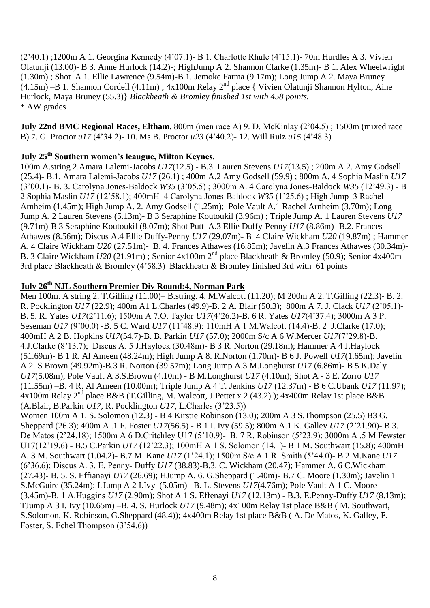(2"40.1) ;1200m A 1. Georgina Kennedy (4"07.1)- B 1. Charlotte Rhule (4"15.1)- 70m Hurdles A 3. Vivien Olatunji (13.00)- B 3. Anne Hurlock (14.2)-; HighJump A 2. Shannon Clarke (1.35m)- B 1. Alex Wheelwright (1.30m) ; Shot A 1. Ellie Lawrence (9.54m)-B 1. Jemoke Fatma (9.17m); Long Jump A 2. Maya Bruney (4.15m) –B 1. Shannon Cordell (4.11m) ;  $4x100m$  Relay  $2<sup>nd</sup>$  place { Vivien Olatunji Shannon Hylton, Aine Hurlock, Maya Bruney (55.3)} *Blackheath & Bromley finished 1st with 458 points.* \* AW grades

**July 22nd BMC Regional Races, Eltham.** 800m (men race A) 9. D. McKinlay (2"04.5) ; 1500m (mixed race B) 7. G. Proctor *u17* (4"34.2)- 10. Ms B. Proctor *u23* (4"40.2)- 12. Will Ruiz *u15* (4"48.3)

## **July 25th Southern women's leaugue, Milton Keynes.**

100m A.string 2.Amara Lalemi-Jacobs *U17*(12.5) - B.3. Lauren Stevens *U17*(13.5) ; 200m A 2. Amy Godsell (25.4)- B.1. Amara Lalemi-Jacobs *U17* (26.1) ; 400m A.2 Amy Godsell (59.9) ; 800m A. 4 Sophia Maslin *U17* (3"00.1)- B. 3. Carolyna Jones-Baldock *W35* (3"05.5) ; 3000m A. 4 Carolyna Jones-Baldock *W35* (12"49.3) - B 2 Sophia Maslin *U17* (12"58.1); 400mH 4 Carolyna Jones-Baldock *W35* (1"25.6) ; High Jump 3 Rachel Arnheim (1.45m); High Jump A. 2. Amy Godsell (1.25m); Pole Vault A.1 Rachel Arnheim (3.70m); Long Jump A. 2 Lauren Stevens (5.13m)- B 3 Seraphine Koutoukil (3.96m) ; Triple Jump A. 1 Lauren Stevens *U17* (9.71m)-B 3 Seraphine Koutoukil (8.07m); Shot Putt A.3 Ellie Duffy-Penny *U17* (8.86m)- B.2. Frances Athawes (8.56m); Discus A.4 Ellie Duffy-Penny *U17* (29.07m)- B 4 Claire Wickham *U20* (19.87m) ; Hammer A. 4 Claire Wickham *U20* (27.51m)- B. 4. Frances Athawes (16.85m); Javelin A.3 Frances Athawes (30.34m)- B. 3 Claire Wickham *U20* (21.91m) ; Senior 4x100m 2nd place Blackheath & Bromley (50.9); Senior 4x400m 3rd place Blackheath & Bromley (4"58.3) Blackheath & Bromley finished 3rd with 61 points

## **July 26th NJL Southern Premier Div Round:4, Norman Park**

Men 100m. A string 2. T.Gilling (11.00)– B.string. 4. M.Walcott (11.20); M 200m A 2. T.Gilling (22.3)- B. 2. R. Pocklington *U17* (22.9); 400m A1 L.Charles (49.9)-B. 2 A. Blair (50.3); 800m A 7. J. Clack *U17* (2"05.1)- B. 5. R. Yates *U17*(2"11.6); 1500m A 7.O. Taylor *U17*(4"26.2)-B. 6 R. Yates *U17*(4"37.4); 3000m A 3 P. Seseman *U17* (9"00.0) -B. 5 C. Ward *U17* (11"48.9); 110mH A 1 M.Walcott (14.4)-B. 2 J.Clarke (17.0); 400mH A 2 B. Hopkins *U17*(54.7)-B. B. Parkin *U17* (57.0); 2000m S/c A 6 W.Mercer *U17*(7"29.8)-B. 4.J.Clarke (8"13.7); Discus A. 5 J.Haylock (30.48m)- B 3 R. Norton (29.18m); Hammer A 4 J.Haylock (51.69m)- B 1 R. Al Ameen (48.24m); High Jump A 8. R.Norton (1.70m)- B 6 J. Powell *U17*(1.65m); Javelin A 2. S Brown (49.92m)-B.3 R. Norton (39.57m); Long Jump A.3 M.Longhurst *U17* (6.86m)- B 5 K.Daly *U17*(5.08m); Pole Vault A 3.S.Brown (4.10m) - B M.Longhurst *U17* (4.10m); Shot A - 3 E. Zorro *U17*  (11.55m) –B. 4 R. Al Ameen (10.00m); Triple Jump A 4 T. Jenkins *U17* (12.37m) - B 6 C.Ubank *U17* (11.97);  $4x100$ m Relay  $2<sup>nd</sup>$  place B&B (T.Gilling, M. Walcott, J.Pettet x 2 (43.2)); 4x400m Relay 1st place B&B (A.Blair, B.Parkin *U17,* R. Pocklington *U17*, L.Charles (3"23.5)) Women 100m A 1. S. Solomon (12.3) - B 4 Kirstie Robinson (13.0); 200m A 3 S.Thompson (25.5) B3 G. Sheppard (26.3); 400m A .1 F. Foster *U17*(56.5) - B 1 I. Ivy (59.5); 800m A.1 K. Galley *U17* (2"21.90)- B 3. De Matos (2"24.18); 1500m A 6 D.Critchley U17 (5"10.9)- B. 7 R. Robinson (5"23.9); 3000m A .5 M Fewster U17(12"19.6) - B.5 C.Parkin *U17* (12"22.3); 100mH A 1 S. Solomon (14.1)- B 1 M. Southwart (15.8); 400mH A. 3 M. Southwart (1.04.2)- B.7 M. Kane *U17* (1"24.1); 1500m S/c A 1 R. Smith (5"44.0)- B.2 M.Kane *U17* (6"36.6); Discus A. 3. E. Penny- Duffy *U17* (38.83)-B.3. C. Wickham (20.47); Hammer A. 6 C.Wickham (27.43)- B. 5. S. Effianayi *U17* (26.69); HJump A. 6. G.Sheppard (1.40m)- B.7 C. Moore (1.30m); Javelin 1 S.McGuire (35.24m); LJump A 2 I.Ivy (5.05m) –B. L. Stevens *U17*(4.76m); Pole Vault A 1 C. Moore (3.45m)-B. 1 A.Huggins *U17* (2.90m); Shot A 1 S. Effenayi *U17* (12.13m) - B.3. E.Penny-Duffy *U17* (8.13m); TJump A 3 I. Ivy (10.65m) –B. 4. S. Hurlock *U17* (9.48m); 4x100m Relay 1st place B&B ( M. Southwart, S.Solomon, K. Robinson, G.Sheppard (48.4)); 4x400m Relay 1st place B&B ( A. De Matos, K. Galley, F. Foster, S. Echel Thompson (3"54.6))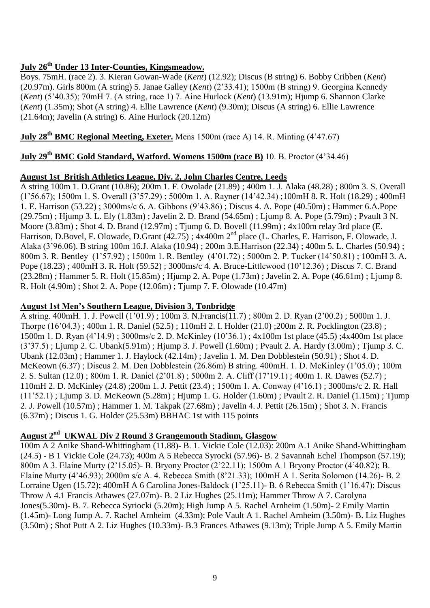## **July 26th Under 13 Inter-Counties, Kingsmeadow.**

Boys. 75mH. (race 2). 3. Kieran Gowan-Wade (*Kent*) (12.92); Discus (B string) 6. Bobby Cribben (*Kent*) (20.97m). Girls 800m (A string) 5. Janae Galley (*Kent*) (2"33.41); 1500m (B string) 9. Georgina Kennedy (*Kent*) (5"40.35); 70mH 7. (A string, race 1) 7. Aine Hurlock (*Kent*) (13.91m); Hjump 6. Shannon Clarke (*Kent*) (1.35m); Shot (A string) 4. Ellie Lawrence (*Kent*) (9.30m); Discus (A string) 6. Ellie Lawrence (21.64m); Javelin (A string) 6. Aine Hurlock (20.12m)

**July 28th BMC Regional Meeting, Exeter.** Mens 1500m (race A) 14. R. Minting (4"47.67)

**July 29th BMC Gold Standard, Watford. Womens 1500m (race B)** 10. B. Proctor (4"34.46)

## **August 1st British Athletics League, Div. 2, John Charles Centre, Leeds**

A string 100m 1. D.Grant (10.86); 200m 1. F. Owolade (21.89) ; 400m 1. J. Alaka (48.28) ; 800m 3. S. Overall (1"56.67); 1500m 1. S. Overall (3"57.29) ; 5000m 1. A. Rayner (14"42.34) ;100mH 8. R. Holt (18.29) ; 400mH 1. E. Harrison (53.22) ; 3000ms/c 6. A. Gibbons (9"43.86) ; Discus 4. A. Pope (40.50m) ; Hammer 6.A.Pope (29.75m) ; Hjump 3. L. Ely (1.83m) ; Javelin 2. D. Brand (54.65m) ; Ljump 8. A. Pope (5.79m) ; Pvault 3 N. Moore (3.83m) ; Shot 4. D. Brand (12.97m) ; Tjump 6. D. Bovell (11.99m) ; 4x100m relay 3rd place (E. Harrison, D.Bovel, F. Olowade, D.Grant (42.75) ;  $4x400m$  2<sup>nd</sup> place (L. Charles, E. Harrison, F. Olowade, J. Alaka (3"96.06). B string 100m 16.J. Alaka (10.94) ; 200m 3.E.Harrison (22.34) ; 400m 5. L. Charles (50.94) ; 800m 3. R. Bentley (1"57.92) ; 1500m 1. R. Bentley (4"01.72) ; 5000m 2. P. Tucker (14"50.81) ; 100mH 3. A. Pope (18.23) ; 400mH 3. R. Holt (59.52) ; 3000ms/c 4. A. Bruce-Littlewood (10"12.36) ; Discus 7. C. Brand (23.28m) ; Hammer 5. R. Holt (15.85m) ; Hjump 2. A. Pope (1.73m) ; Javelin 2. A. Pope (46.61m) ; Ljump 8. R. Holt (4.90m) ; Shot 2. A. Pope (12.06m) ; Tjump 7. F. Olowade (10.47m)

## **August 1st Men's Southern League, Division 3, Tonbridge**

A string. 400mH. 1. J. Powell  $(1'01.9)$ ; 100m 3. N.Francis $(11.7)$ ; 800m 2. D. Ryan  $(2'00.2)$ ; 5000m 1. J. Thorpe (16"04.3) ; 400m 1. R. Daniel (52.5) ; 110mH 2. I. Holder (21.0) ;200m 2. R. Pocklington (23.8) ; 1500m 1. D. Ryan (4"14.9) ; 3000ms/c 2. D. McKinley (10"36.1) ; 4x100m 1st place (45.5) ;4x400m 1st place (3"37.5) ; Ljump 2. C. Ubank(5.91m) ; Hjump 3. J. Powell (1.60m) ; Pvault 2. A. Hardy (3.00m) ; Tjump 3. C. Ubank (12.03m) ; Hammer 1. J. Haylock (42.14m) ; Javelin 1. M. Den Dobblestein (50.91) ; Shot 4. D. McKeown (6.37) ; Discus 2. M. Den Dobblestein (26.86m) B string. 400mH. 1. D. McKinley (1"05.0) ; 100m 2. S. Sultan (12.0) ; 800m 1. R. Daniel (2"01.8) ; 5000m 2. A. Cliff (17"19.1) ; 400m 1. R. Dawes (52.7) ; 110mH 2. D. McKinley (24.8) ;200m 1. J. Pettit (23.4) ; 1500m 1. A. Conway (4"16.1) ; 3000ms/c 2. R. Hall (11"52.1) ; Ljump 3. D. McKeown (5.28m) ; Hjump 1. G. Holder (1.60m) ; Pvault 2. R. Daniel (1.15m) ; Tjump 2. J. Powell (10.57m) ; Hammer 1. M. Takpak (27.68m) ; Javelin 4. J. Pettit (26.15m) ; Shot 3. N. Francis  $(6.37m)$ ; Discus 1. G. Holder  $(25.53m)$  BBHAC 1st with 115 points

## **August 2nd UKWAL Div 2 Round 3 Grangemouth Stadium, Glasgow**

100m A 2 Anike Shand-Whittingham (11.88)- B. 1. Vickie Cole (12.03): 200m A.1 Anike Shand-Whittingham (24.5) - B 1 Vickie Cole (24.73); 400m A 5 Rebecca Syrocki (57.96)- B. 2 Savannah Echel Thompson (57.19); 800m A 3. Elaine Murty (2"15.05)- B. Bryony Proctor (2"22.11); 1500m A 1 Bryony Proctor (4"40.82); B. Elaine Murty (4"46.93); 2000m s/c A. 4. Rebecca Smith (8"21.33); 100mH A 1. Serita Solomon (14.26)- B. 2 Lorraine Ugen (15.72); 400mH A 6 Carolina Jones-Baldock (1"25.11)- B. 6 Rebecca Smith (1"16.47); Discus Throw A 4.1 Francis Athawes (27.07m)- B. 2 Liz Hughes (25.11m); Hammer Throw A 7. Carolyna Jones(5.30m)- B. 7. Rebecca Syriocki (5.20m); High Jump A 5. Rachel Arnheim (1.50m)- 2 Emily Martin (1.45m)- Long Jump A. 7. Rachel Arnheim (4.33m); Pole Vault A 1. Rachel Arnheim (3.50m)- B. Liz Hughes (3.50m) ; Shot Putt A 2. Liz Hughes (10.33m)- B.3 Frances Athawes (9.13m); Triple Jump A 5. Emily Martin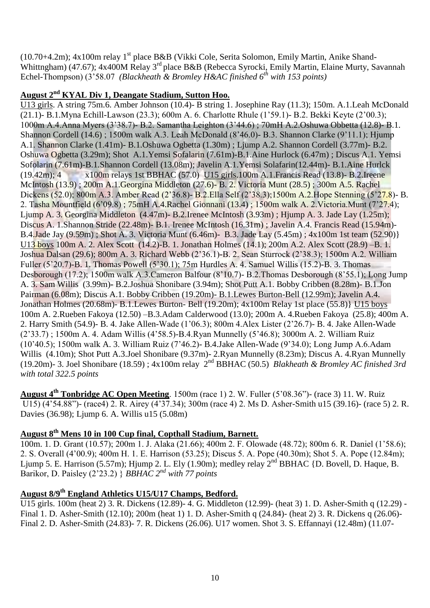(10.70+4.2m); 4x100m relay 1<sup>st</sup> place B&B (Vikki Cole, Serita Solomon, Emily Martin, Anike Shand-Whittngham) (47.67); 4x400M Relay 3<sup>rd</sup> place B&B (Rebecca Syrocki, Emily Martin, Elaine Murty, Savannah Echel-Thompson) (3"58.07 *(Blackheath & Bromley H&AC finished 6th with 153 points)*

## **August 2nd KYAL Div 1, Deangate Stadium, Sutton Hoo.**

U13 girls. A string 75m.6. Amber Johnson (10.4)- B string 1. Josephine Ray (11.3); 150m. A.1.Leah McDonald (21.1)- B.1.Myna Echill-Lawson (23.3); 600m A. 6. Charlotte Rhule (1"59.1)- B.2. Bekki Keyte (2"00.3); 1000m A.4.Anna Myers (3"38.7)- B.2. Samantha Leighton (3"44.6) ; 70mH A.2.Oshuwa Obbetta (12.8)- B.1. Shannon Cordell (14.6) ; 1500m walk A.3. Leah McDonald (8"46.0)- B.3. Shannon Clarke (9"11.1); Hjump A.1. Shannon Clarke (1.41m)- B.1.Oshuwa Ogbetta (1.30m) ; Ljump A.2. Shannon Cordell (3.77m)- B.2. Oshuwa Ogbetta (3.29m); Shot A.1.Yemsi Sofalarin (7.61m)-B.1.Aine Hurlock (6.47m) ; Discus A.1. Yemsi Sofolarin (7.61m)-B.1.Shannon Cordell (13.08m); Javelin A.1.Yemsi Solafarin(12.44m)- B.1.Aine Hurlck (19.42m); 4 x100m relays 1st BBHAC (57.0) U15 girls.100m A.1.Francis Read (13.8)- B.2.Ireene McIntosh (13.9) ; 200m A.1.Georgina Middleton (27.6)- B. 2. Victoria Munt (28.5) ; 300m A.5. Rachel Dickens (52.0); 800m A.3. Amber Read (2"36.8)- B.2.Ella Self (2"38.3);1500m A.2.Hope Stenning (5"27.8)- B. 2. Tasha Mountfield (6"09.8) ; 75mH A.4.Rachel Gionnani (13.4) ; 1500m walk A. 2.Victoria.Munt (7"27.4); Ljump A. 3. Georgina Middleton (4.47m)- B.2.Irenee McIntosh (3.93m) ; Hjump A. 3. Jade Lay (1.25m); Discus A. 1.Shannon Stride (22.48m)- B.1. Irenee McIntosh (16.31m) ; Javelin A.4. Francis Read (15.94m)- B.4.Jade Jay (9.59m) ; Shot A. 3. Victoria Munt (6.46m)- B.3. Jade Lay (5.45m) ; 4x100m 1st team (52.90)} U13 boys 100m A. 2. Alex Scott (14.2)-B. 1. Jonathan Holmes (14.1); 200m A.2. Alex Scott (28.9) –B. 1. Joshua Dalsan (29.6); 800m A. 3. Richard Webb (2"36.1)-B. 2. Sean Sturrock (2"38.3); 1500m A.2. William Fuller (5"20.7)-B. 1. Thomas Powell (5"30.1); 75m Hurdles A. 4. Samuel Willis (15.2)-B. 3. Thomas Desborough (17.2); 1500m walk A.3.Cameron Balfour (8"10.7)- B.2.Thomas Desborough (8"55.1); Long Jump A. 3. Sam Willis (3.99m)- B.2.Joshua Shonibare (3.94m); Shot Putt A.1. Bobby Cribben (8.28m)- B.1.Jon Pairman (6.08m); Discus A.1. Bobby Cribben (19.20m)- B.1.Lewes Burton-Bell (12.99m); Javelin A.4. Jonathan Holmes (20.68m)- B.1.Lewes Burton- Bell (19.20m); 4x100m Relay 1st place (55.8)} U15 boys 100m A. 2.Rueben Fakoya (12.50) –B.3.Adam Calderwood (13.0); 200m A. 4.Rueben Fakoya (25.8); 400m A. 2. Harry Smith (54.9)- B. 4. Jake Allen-Wade (1"06.3); 800m 4.Alex Lister (2"26.7)- B. 4. Jake Allen-Wade (2"33.7) ; 1500m A. 4. Adam Willis (4"58.5)-B.4.Ryan Munnelly (5"46.8); 3000m A. 2. William Ruiz (10"40.5); 1500m walk A. 3. William Ruiz (7"46.2)- B.4.Jake Allen-Wade (9"34.0); Long Jump A.6.Adam Willis (4.10m); Shot Putt A.3.Joel Shonibare (9.37m)- 2.Ryan Munnelly (8.23m); Discus A. 4.Ryan Munnelly (19.20m)- 3. Joel Shonibare (18.59) ;  $4x100m$  relay  $2^{nd}$  BBHAC (50.5) *Blakheath & Bromley AC finished 3rd with total 322.5 points*

**August 4th Tonbridge AC Open Meeting**. 1500m (race 1) 2. W. Fuller (5"08.36")- (race 3) 11. W. Ruiz U15) (4"54.88")- (race4) 2. R. Airey (4"37.34); 300m (race 4) 2. Ms D. Asher-Smith u15 (39.16)- (race 5) 2. R. Davies (36.98); Ljump 6. A. Willis u15 (5.08m)

## **August 8th Mens 10 in 100 Cup final, Copthall Stadium, Barnett.**

100m. 1. D. Grant (10.57); 200m 1. J. Alaka (21.66); 400m 2. F. Olowade (48.72); 800m 6. R. Daniel (1"58.6); 2. S. Overall (4'00.9); 400m H. 1. E. Harrison (53.25); Discus 5. A. Pope (40.30m); Shot 5. A. Pope (12.84m); Ljump 5. E. Harrison (5.57m); Hjump 2. L. Ely (1.90m); medley relay 2<sup>nd</sup> BBHAC {D. Bovell, D. Haque, B. Barikor, D. Paisley (2"23.2) } *BBHAC 2nd with 77 points*

## **August 8/9th England Athletics U15/U17 Champs, Bedford.**

U15 girls. 100m (heat 2) 3. R. Dickens (12.89)- 4. G. Middleton (12.99)- (heat 3) 1. D. Asher-Smith q (12.29) - Final 1. D. Asher-Smith (12.10); 200m (heat 1) 1. D. Asher-Smith q (24.84)- (heat 2) 3. R. Dickens q (26.06)- Final 2. D. Asher-Smith (24.83)- 7. R. Dickens (26.06). U17 women. Shot 3. S. Effannayi (12.48m) (11.07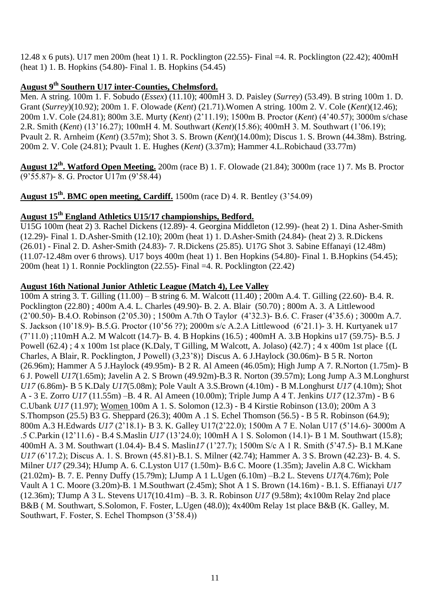12.48 x 6 puts). U17 men 200m (heat 1) 1. R. Pocklington (22.55)- Final =4. R. Pocklington (22.42); 400mH (heat 1) 1. B. Hopkins (54.80)- Final 1. B. Hopkins (54.45)

## **August 9th Southern U17 inter-Counties, Chelmsford.**

Men. A string. 100m 1. F. Sobudo (*Essex*) (11.10); 400mH 3. D. Paisley (*Surrey*) (53.49). B string 100m 1. D. Grant (*Surrey*)(10.92); 200m 1. F. Olowade (*Kent*) (21.71).Women A string. 100m 2. V. Cole (*Kent*)(12.46); 200m 1.V. Cole (24.81); 800m 3.E. Murty (*Kent*) (2"11.19); 1500m B. Proctor (*Kent*) (4"40.57); 3000m s/chase 2.R. Smith (*Kent*) (13"16.27); 100mH 4. M. Southwart (*Kent*)(15.86); 400mH 3. M. Southwart (1"06.19); Pvault 2. R. Arnheim (*Kent*) (3.57m); Shot 3. S. Brown (*Kent*)(14.00m); Discus 1. S. Brown (44.38m). Bstring. 200m 2. V. Cole (24.81); Pvault 1. E. Hughes (*Kent*) (3.37m); Hammer 4.L.Robichaud (33.77m)

**August 12th. Watford Open Meeting.** 200m (race B) 1. F. Olowade (21.84); 3000m (race 1) 7. Ms B. Proctor (9"55.87)- 8. G. Proctor U17m (9"58.44)

**August 15th. BMC open meeting, Cardiff.** 1500m (race D) 4. R. Bentley (3"54.09)

## **August 15th England Athletics U15/17 championships, Bedford.**

U15G 100m (heat 2) 3. Rachel Dickens (12.89)- 4. Georgina Middleton (12.99)- (heat 2) 1. Dina Asher-Smith (12.29)- Final 1. D.Asher-Smith (12.10); 200m (heat 1) 1. D.Asher-Smith (24.84)- (heat 2) 3. R.Dickens (26.01) - Final 2. D. Asher-Smith (24.83)- 7. R.Dickens (25.85). U17G Shot 3. Sabine Effanayi (12.48m) (11.07-12.48m over 6 throws). U17 boys 400m (heat 1) 1. Ben Hopkins (54.80)- Final 1. B.Hopkins (54.45); 200m (heat 1) 1. Ronnie Pocklington (22.55)- Final =4. R. Pocklington (22.42)

## **August 16th National Junior Athletic League (Match 4), Lee Valley**

100m A string 3. T. Gilling (11.00) – B string 6. M. Walcott (11.40) ; 200m A.4. T. Gilling (22.60)- B.4. R. Pocklington (22.80) ; 400m A.4. L. Charles (49.90)- B. 2. A. Blair (50.70) ; 800m A. 3. A Littlewood (2"00.50)- B.4.O. Robinson (2"05.30) ; 1500m A.7th O Taylor (4"32.3)- B.6. C. Fraser (4"35.6) ; 3000m A.7. S. Jackson (10"18.9)- B.5.G. Proctor (10"56 ??); 2000m s/c A.2.A Littlewood (6"21.1)- 3. H. Kurtyanek u17 (7"11.0) ;110mH A.2. M Walcott (14.7)- B. 4. B Hopkins (16.5) ; 400mH A. 3.B Hopkins u17 (59.75)- B.5. J Powell (62.4) ; 4 x 100m 1st place (K.Daly, T Gilling, M Walcott, A. Jolaso) (42.7) ; 4 x 400m 1st place {(L Charles, A Blair, R. Pocklington, J Powell) (3,23"8)} Discus A. 6 J.Haylock (30.06m)- B 5 R. Norton (26.96m); Hammer A 5 J.Haylock (49.95m)- B 2 R. Al Ameen (46.05m); High Jump A 7. R.Norton (1.75m)- B 6 J. Powell *U17*(1.65m); Javelin A 2. S Brown (49.92m)-B.3 R. Norton (39.57m); Long Jump A.3 M.Longhurst *U17* (6.86m)- B 5 K.Daly *U17*(5.08m); Pole Vault A 3.S.Brown (4.10m) - B M.Longhurst *U17* (4.10m); Shot A - 3 E. Zorro *U17* (11.55m) –B. 4 R. Al Ameen (10.00m); Triple Jump A 4 T. Jenkins *U17* (12.37m) - B 6 C.Ubank *U17* (11.97); Women 100m A 1. S. Solomon (12.3) - B 4 Kirstie Robinson (13.0); 200m A 3 S.Thompson (25.5) B3 G. Sheppard (26.3); 400m A .1 S. Echel Thomson (56.5) - B 5 R. Robinson (64.9); 800m A.3 H.Edwards *U17* (2"18.1)- B 3. K. Galley U17(2"22.0); 1500m A 7 E. Nolan U17 (5"14.6)- 3000m A .5 C.Parkin (12"11.6) - B.4 S.Maslin *U17* (13"24.0); 100mH A 1 S. Solomon (14.1)- B 1 M. Southwart (15.8); 400mH A. 3 M. Southwart (1.04.4)- B.4 S. Maslin*17* (1"27.7); 1500m S/c A 1 R. Smith (5"47.5)- B.1 M.Kane *U17* (6"17.2); Discus A. 1. S. Brown (45.81)-B.1. S. Milner (42.74); Hammer A. 3 S. Brown (42.23)- B. 4. S. Milner *U17* (29.34); HJump A. 6. C.Lyston U17 (1.50m)- B.6 C. Moore (1.35m); Javelin A.8 C. Wickham (21.02m)- B. 7. E. Penny Duffy (15.79m); LJump A 1 L.Ugen (6.10m) –B.2 L. Stevens *U17*(4.76m); Pole Vault A 1 C. Moore (3.20m)-B. 1 M.Southwart (2.45m); Shot A 1 S. Brown (14.16m) - B.1. S. Effianayi *U17*  (12.36m); TJump A 3 L. Stevens U17(10.41m) –B. 3. R. Robinson *U17* (9.58m); 4x100m Relay 2nd place B&B ( M. Southwart, S.Solomon, F. Foster, L.Ugen (48.0)); 4x400m Relay 1st place B&B (K. Galley, M. Southwart, F. Foster, S. Echel Thompson (3"58.4))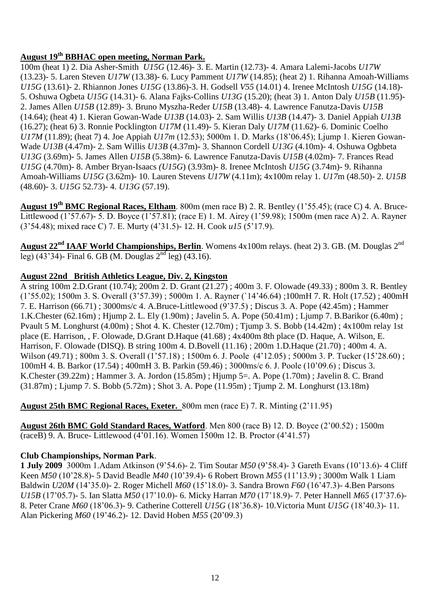## **August 19th BBHAC open meeting, Norman Park.**

100m (heat 1) 2. Dia Asher-Smith *U15G* (12.46)- 3. E. Martin (12.73)- 4. Amara Lalemi-Jacobs *U17W* (13.23)- 5. Laren Steven *U17W* (13.38)- 6. Lucy Pamment *U17W* (14.85); (heat 2) 1. Rihanna Amoah-Williams *U15G* (13.61)- 2. Rhiannon Jones *U15G* (13.86)-3. H. Godsell *V55* (14.01) 4. Irenee McIntosh *U15G* (14.18)- 5. Oshuwa Ogbeta *U15G* (14.31)- 6. Alana Fajks-Collins *U13G* (15.20); (heat 3) 1. Anton Daly *U15B* (11.95)- 2. James Allen *U15B* (12.89)- 3. Bruno Myszha-Reder *U15B* (13.48)- 4. Lawrence Fanutza-Davis *U15B*  (14.64); (heat 4) 1. Kieran Gowan-Wade *U13B* (14.03)- 2. Sam Willis *U13B* (14.47)- 3. Daniel Appiah *U13B* (16.27); (heat 6) 3. Ronnie Pocklington *U17M* (11.49)- 5. Kieran Daly *U17M* (11.62)- 6. Dominic Coelho *U17M* (11.89); (heat 7) 4. Joe Appiah *U17m* (12.53); 5000m 1. D. Marks (18'06.45); Ljump 1. Kieren Gowan-Wade *U13B* (4.47m)- 2. Sam Willis *U13B* (4.37m)- 3. Shannon Cordell *U13G* (4.10m)- 4. Oshuwa Ogbbeta *U13G* (3.69m)- 5. James Allen *U15B* (5.38m)- 6. Lawrence Fanutza-Davis *U15B* (4.02m)- 7. Frances Read *U15G* (4.70m)- 8. Amber Bryan-Isaacs *(U15G*) (3.93m)- 8. Irenee McIntosh *U15G* (3.74m)- 9. Rihanna Amoah-Williams *U15G* (3.62m)- 10. Lauren Stevens *U17W* (4.11m); 4x100m relay 1. *U17*m (48.50)- 2. *U15B* (48.60)- 3. *U15G* 52.73)- 4. *U13G* (57.19).

**August 19th BMC Regional Races, Eltham**. 800m (men race B) 2. R. Bentley (1"55.45); (race C) 4. A. Bruce-Littlewood (1"57.67)- 5. D. Boyce (1"57.81); (race E) 1. M. Airey (1"59.98); 1500m (men race A) 2. A. Rayner (3"54.48); mixed race C) 7. E. Murty (4"31.5)- 12. H. Cook *u15* (5"17.9).

**August 22nd IAAF World Championships, Berlin**. Womens 4x100m relays. (heat 2) 3. GB. (M. Douglas 2nd leg) (43'34)- Final 6. GB (M. Douglas  $2^{nd}$  leg) (43.16).

## **August 22nd British Athletics League, Div. 2, Kingston**

A string 100m 2.D.Grant (10.74); 200m 2. D. Grant (21.27) ; 400m 3. F. Olowade (49.33) ; 800m 3. R. Bentley (1"55.02); 1500m 3. S. Overall (3"57.39) ; 5000m 1. A. Rayner (`14"46.64) ;100mH 7. R. Holt (17.52) ; 400mH 7. E. Harrison (66.71) ; 3000ms/c 4. A.Bruce-Littlewood (9"37.5) ; Discus 3. A. Pope (42.45m) ; Hammer 1.K.Chester (62.16m) ; Hjump 2. L. Ely (1.90m) ; Javelin 5. A. Pope (50.41m) ; Ljump 7. B.Barikor (6.40m) ; Pvault 5 M. Longhurst (4.00m) ; Shot 4. K. Chester (12.70m) ; Tjump 3. S. Bobb (14.42m) ; 4x100m relay 1st place (E. Harrison, , F. Olowade, D.Grant D.Haque (41.68) ; 4x400m 8th place (D. Haque, A. Wilson, E. Harrison, F. Olowade (DISQ). B string 100m 4. D.Bovell (11.16) ; 200m 1.D.Haque (21.70) ; 400m 4. A. Wilson (49.71) ; 800m 3. S. Overall (1'57.18) ; 1500m 6. J. Poole (4'12.05) ; 5000m 3. P. Tucker (15'28.60) ; 100mH 4. B. Barkor (17.54) ; 400mH 3. B. Parkin (59.46) ; 3000ms/c 6. J. Poole (10"09.6) ; Discus 3. K.Chester (39.22m) ; Hammer 3. A. Jordon (15.85m) ; Hjump 5=. A. Pope (1.70m) ; Javelin 8. C. Brand (31.87m) ; Ljump 7. S. Bobb (5.72m) ; Shot 3. A. Pope (11.95m) ; Tjump 2. M. Longhurst (13.18m)

**August 25th BMC Regional Races, Exeter.** 800m men (race E) 7. R. Minting (2"11.95)

**August 26th BMC Gold Standard Races, Watford**. Men 800 (race B) 12. D. Boyce (2"00.52) ; 1500m (raceB) 9. A. Bruce- Littlewood (4"01.16). Women 1500m 12. B. Proctor (4"41.57)

## **Club Championships, Norman Park**.

**1 July 2009** 3000m 1.Adam Atkinson (9"54.6)- 2. Tim Soutar *M50* (9"58.4)- 3 Gareth Evans (10"13.6)- 4 Cliff Keen *M50* (10"28.8)- 5 David Beadle *M40* (10"39.4)- 6 Robert Brown *M55* (11"13.9) ; 3000m Walk 1 Liam Baldwin *U20M* (14"35.0)- 2. Roger Michell *M60* (15"18.0)- 3. Sandra Brown *F60* (16"47.3)- 4.Ben Parsons *U15B* (17"05.7)- 5. Ian Slatta *M50* (17"10.0)- 6. Micky Harran *M70* (17"18.9)- 7. Peter Hannell *M65* (17"37.6)- 8. Peter Crane *M60* (18"06.3)- 9. Catherine Cotterell *U15G* (18"36.8)- 10.Victoria Munt *U15G* (18"40.3)- 11. Alan Pickering *M60* (19"46.2)- 12. David Hoben *M55* (20"09.3)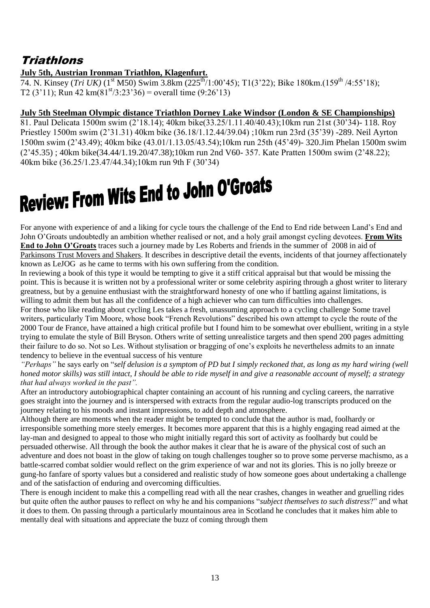## Triathlons

## **July 5th, Austrian Ironman Triathlon, Klagenfurt.**

74. N. Kinsey (*Tri UK*) (1<sup>st</sup> M50) Swim 3.8km (225<sup>th</sup>/1:00'45); T1(3'22); Bike 180km.(159<sup>th</sup>/4:55'18); T2 (3'11); Run 42 km(81<sup>st</sup>/3:23'36) = overall time (9:26'13)

## **July 5th Steelman Olympic distance Triathlon Dorney Lake Windsor (London & SE Championships)**

81. Paul Delicata 1500m swim (2"18.14); 40km bike(33.25/1.11.40/40.43);10km run 21st (30"34)- 118. Roy Priestley 1500m swim (2"31.31) 40km bike (36.18/1.12.44/39.04) ;10km run 23rd (35"39) -289. Neil Ayrton 1500m swim (2"43.49); 40km bike (43.01/1.13.05/43.54);10km run 25th (45"49)- 320.Jim Phelan 1500m swim (2"45.35) ; 40km bike(34.44/1.19.20/47.38);10km run 2nd V60- 357. Kate Pratten 1500m swim (2"48.22); 40km bike (36.25/1.23.47/44.34);10km run 9th F (30"34)

# Review: From Wits End to John O'Groats

For anyone with experience of and a liking for cycle tours the challenge of the End to End ride between Land's End and John O"Groats undoubtedly an ambition whether realised or not, and a holy grail amongst cycling devotees. **From Wits End to John O'Groats** traces such a journey made by Les Roberts and friends in the summer of 2008 in aid of Parkinsons Trust Movers and Shakers. It describes in descriptive detail the events, incidents of that journey affectionately known as LeJOG as he came to terms with his own suffering from the condition.

In reviewing a book of this type it would be tempting to give it a stiff critical appraisal but that would be missing the point. This is because it is written not by a professional writer or some celebrity aspiring through a ghost writer to literary greatness, but by a genuine enthusiast with the straightforward honesty of one who if battling against limitations, is willing to admit them but has all the confidence of a high achiever who can turn difficulties into challenges.

For those who like reading about cycling Les takes a fresh, unassuming approach to a cycling challenge Some travel writers, particularly Tim Moore, whose book "French Revolutions" described his own attempt to cycle the route of the 2000 Tour de France, have attained a high critical profile but I found him to be somewhat over ebullient, writing in a style trying to emulate the style of Bill Bryson. Others write of setting unrealistice targets and then spend 200 pages admitting their failure to do so. Not so Les. Without stylisation or bragging of one"s exploits he nevertheless admits to an innate tendency to believe in the eventual success of his venture

*"Perhaps"* he says early on "*self delusion is a symptom of PD but I simply reckoned that, as long as my hard wiring (well honed motor skills) was still intact, I should be able to ride myself in and give a reasonable account of myself; a strategy that had always worked in the past".*

After an introductory autobiographical chapter containing an account of his running and cycling careers, the narrative goes straight into the journey and is interspersed with extracts from the regular audio-log transcripts produced on the journey relating to his moods and instant impressions, to add depth and atmosphere.

Although there are moments when the reader might be tempted to conclude that the author is mad, foolhardy or irresponsible something more steely emerges. It becomes more apparent that this is a highly engaging read aimed at the lay-man and designed to appeal to those who might initially regard this sort of activity as foolhardy but could be persuaded otherwise. All through the book the author makes it clear that he is aware of the physical cost of such an adventure and does not boast in the glow of taking on tough challenges tougher so to prove some perverse machismo, as a battle-scarred combat soldier would reflect on the grim experience of war and not its glories. This is no jolly breeze or gung-ho fanfare of sporty values but a considered and realistic study of how someone goes about undertaking a challenge and of the satisfaction of enduring and overcoming difficulties.

There is enough incident to make this a compelling read with all the near crashes, changes in weather and gruelling rides but quite often the author pauses to reflect on why he and his companions "*subject themselves to such distress*?" and what it does to them. On passing through a particularly mountainous area in Scotland he concludes that it makes him able to mentally deal with situations and appreciate the buzz of coming through them